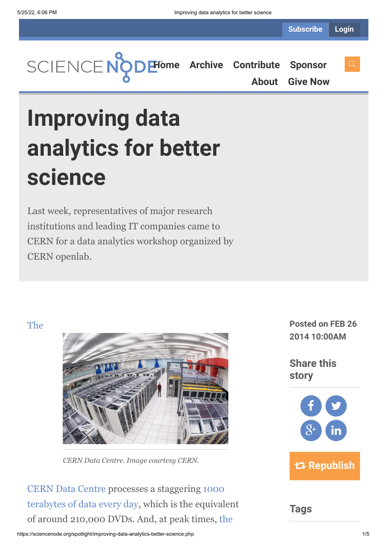

**[About](https://sciencenode.org/about/index.php) [Give Now](https://sciencenode.org/donate/index.php)**

# **Improving data analytics for better science**

Last week, representatives of major research institutions and leading IT companies came to CERN for a data analytics workshop organized by CERN openlab.

## The



*CERN Data Centre. Image courtesy CERN.*

[CERN Data Centre processes a staggering 1000](http://home.web.cern.ch/about/computing) terabytes of data every day, which is the equivalent [of around 210,000 DVDs. And, at peak times, the](http://lcg-archive.web.cern.ch/lcg-archive/public/)

**Posted on FEB 26 2014 10:00AM**

**Share this story**



**Tags**

#### https://sciencenode.org/spotlight/improving-data-analytics-better-science.php 1/5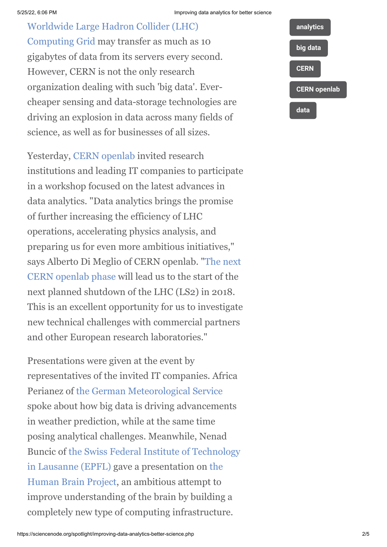Worldwide Large Hadron Collider (LHC) [Computing Grid may transfer as much as 10](http://lcg-archive.web.cern.ch/lcg-archive/public/) gigabytes of data from its servers every second. However, CERN is not the only research organization dealing with such 'big data'. Evercheaper sensing and data-storage technologies are driving an explosion in data across many fields of science, as well as for businesses of all sizes.

Yesterday, [CERN openlab](http://openlab.web.cern.ch/) invited research institutions and leading IT companies to participate in a workshop focused on the latest advances in data analytics. "Data analytics brings the promise of further increasing the efficiency of LHC operations, accelerating physics analysis, and preparing us for even more ambitious initiatives," [says Alberto Di Meglio of CERN openlab. "The next](http://openlab.web.cern.ch/news/cern-openlab-it-challenges-workshop-paving-way-phase-v) CERN openlab phase will lead us to the start of the next planned shutdown of the LHC (LS2) in 2018. This is an excellent opportunity for us to investigate new technical challenges with commercial partners and other European research laboratories."

Presentations were given at the event by representatives of the invited IT companies. Africa Perianez of [the German Meteorological Service](http://www.dwd.de/bvbw/appmanager/bvbw/dwdwwwDesktop?_nfpb=true&_windowLabel=dwdwww_main_book&T17500013121287044130563gsbDocumentPath=&switchLang=en&_pageLabel=dwdwww_start) spoke about how big data is driving advancements in weather prediction, while at the same time posing analytical challenges. Meanwhile, Nenad [Buncic of the Swiss Federal Institute of Technology](http://www.epfl.ch/) [in Lausanne \(EPFL\) gave a presentation on the](https://www.humanbrainproject.eu/) Human Brain Project, an ambitious attempt to improve understanding of the brain by building a completely new type of computing infrastructure.

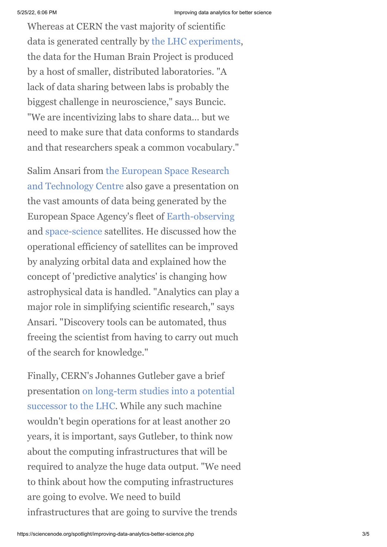Whereas at CERN the vast majority of scientific data is generated centrally by [the LHC experiments,](http://home.web.cern.ch/about/experiments) the data for the Human Brain Project is produced by a host of smaller, distributed laboratories. "A lack of data sharing between labs is probably the biggest challenge in neuroscience," says Buncic. "We are incentivizing labs to share data… but we need to make sure that data conforms to standards and that researchers speak a common vocabulary."

[Salim Ansari from the European Space Research](http://www.esa.int/About_Us/ESTEC) and Technology Centre also gave a presentation on the vast amounts of data being generated by the European Space Agency's fleet of [Earth-observing](http://www.esa.int/Our_Activities/Observing_the_Earth) and [space-science](http://www.esa.int/Our_Activities/Space_Science) satellites. He discussed how the operational efficiency of satellites can be improved by analyzing orbital data and explained how the concept of 'predictive analytics' is changing how astrophysical data is handled. "Analytics can play a major role in simplifying scientific research," says Ansari. "Discovery tools can be automated, thus freeing the scientist from having to carry out much of the search for knowledge."

Finally, CERN's Johannes Gutleber gave a brief [presentation on long-term studies into a potential](http://press.web.cern.ch/press-releases/2014/02/cern-prepares-its-long-term-future) successor to the LHC. While any such machine wouldn't begin operations for at least another 20 years, it is important, says Gutleber, to think now about the computing infrastructures that will be required to analyze the huge data output. "We need to think about how the computing infrastructures are going to evolve. We need to build infrastructures that are going to survive the trends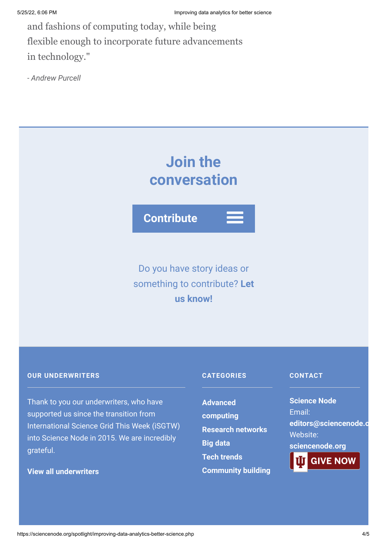and fashions of computing today, while being flexible enough to incorporate future advancements in technology."

*- Andrew Purcell*

## **Join the conversation**

**Contribute**

## Do you have story ideas or something to contribute? **Let us know!**

### **OUR UNDERWRITERS**

Thank to you our underwriters, who have supported us since the transition from International Science Grid This Week (iSGTW) into Science Node in 2015. We are incredibly grateful.

**[View all underwriters](https://sciencenode.org/about/index.php)**

## **CATEGORIES**

**Advanced [computing](https://sciencenode.org/archive/?year=2016&category=Advanced%20computing) [Research networks](https://sciencenode.org/archive/?year=2016&category=Advanced%20computing&category=Research%20networks) [Big data](https://sciencenode.org/archive/?year=2016&category=Advanced%20computing&category=Research%20networks&category=Big%20data) [Tech trends](https://sciencenode.org/archive/?year=2016&category=Advanced%20computing&category=Research%20networks&category=Big%20data&category=Tech%20trends) [Community building](https://sciencenode.org/archive/?year=2016&category=Advanced%20computing&category=Research%20networks&category=Big%20data&category=Tech%20trends&category=Community%20building)**

### **CONTACT**

**Science Node** Email: **[editors@sciencenode.o](mailto:edit%6F%72s@s%63%69encenode.%6F%72%67)** Website: **[sciencenode.org](https://sciencenode.org/) GIVE NOW**